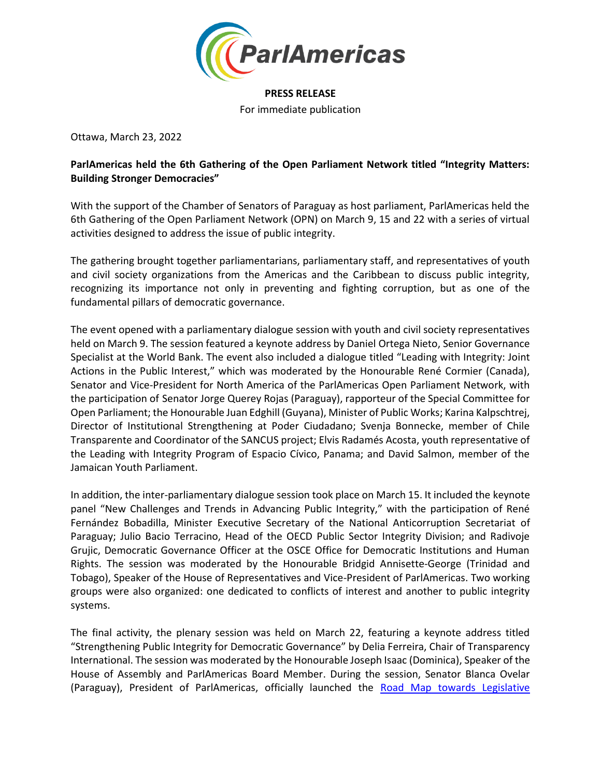

## **PRESS RELEASE**

For immediate publication

Ottawa, March 23, 2022

## **ParlAmericas held the 6th Gathering of the Open Parliament Network titled "Integrity Matters: Building Stronger Democracies"**

With the support of the Chamber of Senators of Paraguay as host parliament, ParlAmericas held the 6th Gathering of the Open Parliament Network (OPN) on March 9, 15 and 22 with a series of virtual activities designed to address the issue of public integrity.

The gathering brought together parliamentarians, parliamentary staff, and representatives of youth and civil society organizations from the Americas and the Caribbean to discuss public integrity, recognizing its importance not only in preventing and fighting corruption, but as one of the fundamental pillars of democratic governance.

The event opened with a parliamentary dialogue session with youth and civil society representatives held on March 9. The session featured a keynote address by Daniel Ortega Nieto, Senior Governance Specialist at the World Bank. The event also included a dialogue titled "Leading with Integrity: Joint Actions in the Public Interest," which was moderated by the Honourable René Cormier (Canada), Senator and Vice-President for North America of the ParlAmericas Open Parliament Network, with the participation of Senator Jorge Querey Rojas (Paraguay), rapporteur of the Special Committee for Open Parliament; the Honourable Juan Edghill (Guyana), Minister of Public Works; Karina Kalpschtrej, Director of Institutional Strengthening at Poder Ciudadano; Svenja Bonnecke, member of Chile Transparente and Coordinator of the SANCUS project; Elvis Radamés Acosta, youth representative of the Leading with Integrity Program of Espacio Cívico, Panama; and David Salmon, member of the Jamaican Youth Parliament.

In addition, the inter-parliamentary dialogue session took place on March 15. It included the keynote panel "New Challenges and Trends in Advancing Public Integrity," with the participation of René Fernández Bobadilla, Minister Executive Secretary of the National Anticorruption Secretariat of Paraguay; Julio Bacio Terracino, Head of the OECD Public Sector Integrity Division; and Radivoje Grujic, Democratic Governance Officer at the OSCE Office for Democratic Institutions and Human Rights. The session was moderated by the Honourable Bridgid Annisette-George (Trinidad and Tobago), Speaker of the House of Representatives and Vice-President of ParlAmericas. Two working groups were also organized: one dedicated to conflicts of interest and another to public integrity systems.

The final activity, the plenary session was held on March 22, featuring a keynote address titled "Strengthening Public Integrity for Democratic Governance" by Delia Ferreira, Chair of Transparency International. The session was moderated by the Honourable Joseph Isaac (Dominica), Speaker of the House of Assembly and ParlAmericas Board Member. During the session, Senator Blanca Ovelar (Paraguay), President of ParlAmericas, officially launched the [Road Map towards Legislative](https://parlamericas.org/uploads/documents/Road_map_2.0_eng.pdf)